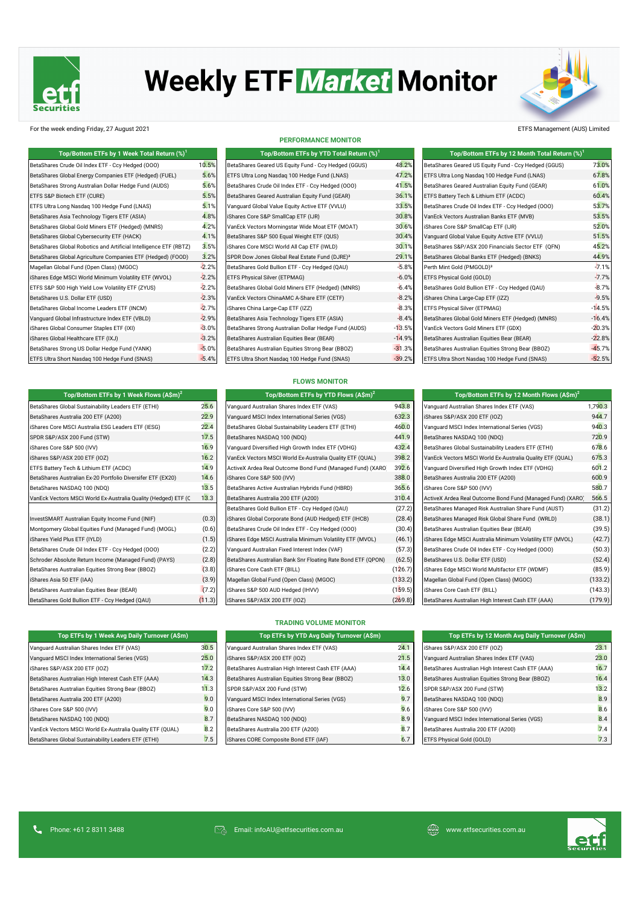

# **Weekly ETF Market Monitor**



### For the week ending Friday, 27 August 2021 ETFS Management (AUS) Limited

| Top/Bottom ETFs by 1 Week Total Return (%) <sup>1</sup>           |         | Top/Bottom ETFs by YTD Total Return (%) <sup>1</sup>       |          | Top/Bottom ETFs by 12 Month Total Return (%) <sup>1</sup> |          |
|-------------------------------------------------------------------|---------|------------------------------------------------------------|----------|-----------------------------------------------------------|----------|
| BetaShares Crude Oil Index ETF - Ccy Hedged (000)                 | 10.5%   | BetaShares Geared US Equity Fund - Ccy Hedged (GGUS)       | 48.2%    | BetaShares Geared US Equity Fund - Ccy Hedged (GGUS)      | 73.0%    |
| BetaShares Global Energy Companies ETF (Hedged) (FUEL)            | 5.6%    | ETFS Ultra Long Nasdag 100 Hedge Fund (LNAS)               | 47.2%    | ETFS Ultra Long Nasdag 100 Hedge Fund (LNAS)              | 67.8%    |
| BetaShares Strong Australian Dollar Hedge Fund (AUDS)             | 5.6%    | BetaShares Crude Oil Index ETF - Ccy Hedged (000)          | 41.5%    | BetaShares Geared Australian Equity Fund (GEAR)           | 61.0%    |
| ETFS S&P Biotech ETF (CURE)                                       | 5.5%    | BetaShares Geared Australian Equity Fund (GEAR)            | 36.1%    | ETFS Battery Tech & Lithium ETF (ACDC)                    | 60.4%    |
| ETFS Ultra Long Nasdag 100 Hedge Fund (LNAS)                      | 5.1%    | Vanguard Global Value Equity Active ETF (VVLU)             | 33.5%    | BetaShares Crude Oil Index ETF - Ccy Hedged (000)         | 53.7%    |
| BetaShares Asia Technology Tigers ETF (ASIA)                      | 4.8%    | iShares Core S&P SmallCap ETF (IJR)                        | 30.8%    | VanEck Vectors Australian Banks ETF (MVB)                 | 53.5%    |
| BetaShares Global Gold Miners ETF (Hedged) (MNRS)                 | 4.2%    | VanEck Vectors Morningstar Wide Moat ETF (MOAT)            | 30.6%    | iShares Core S&P SmallCap ETF (IJR)                       | 52.0%    |
| BetaShares Global Cybersecurity ETF (HACK)                        | 4.1%    | BetaShares S&P 500 Equal Weight ETF (QUS)                  | 30.4%    | Vanquard Global Value Equity Active ETF (VVLU)            | 51.5%    |
| BetaShares Global Robotics and Artificial Intelligence ETF (RBTZ) | 3.5%    | iShares Core MSCI World All Cap ETF (IWLD)                 | 30.1%    | BetaShares S&P/ASX 200 Financials Sector ETF (QFN)        | 45.2%    |
| BetaShares Global Agriculture Companies ETF (Hedged) (FOOD)       | 3.2%    | SPDR Dow Jones Global Real Estate Fund (DJRE) <sup>3</sup> | 29.1%    | BetaShares Global Banks ETF (Hedged) (BNKS)               | 44.9%    |
| Magellan Global Fund (Open Class) (MGOC)                          | $-2.2%$ | BetaShares Gold Bullion ETF - Ccy Hedged (QAU)             | $-5.8%$  | Perth Mint Gold (PMGOLD) <sup>3</sup>                     | $-7.1%$  |
| iShares Edge MSCI World Minimum Volatility ETF (WVOL)             | $-2.2%$ | <b>ETFS Physical Silver (ETPMAG)</b>                       | $-6.0%$  | ETFS Physical Gold (GOLD)                                 | $-7.7%$  |
| ETFS S&P 500 High Yield Low Volatility ETF (ZYUS)                 | $-2.2%$ | BetaShares Global Gold Miners ETF (Hedged) (MNRS)          | $-6.4%$  | BetaShares Gold Bullion ETF - Ccy Hedged (QAU)            | $-8.7%$  |
| BetaShares U.S. Dollar ETF (USD)                                  | $-2.3%$ | VanEck Vectors ChinaAMC A-Share ETF (CETF)                 | $-8.2%$  | iShares China Large-Cap ETF (IZZ)                         | $-9.5%$  |
| BetaShares Global Income Leaders ETF (INCM)                       | $-2.7%$ | iShares China Large-Cap ETF (IZZ)                          | $-8.3%$  | ETFS Physical Silver (ETPMAG)                             | $-14.5%$ |
| Vanquard Global Infrastructure Index ETF (VBLD)                   | $-2.9%$ | BetaShares Asia Technology Tigers ETF (ASIA)               | $-8.4%$  | BetaShares Global Gold Miners ETF (Hedged) (MNRS)         | $-16.4%$ |
| iShares Global Consumer Staples ETF (IXI)                         | $-3.0%$ | BetaShares Strong Australian Dollar Hedge Fund (AUDS)      | $-13.5%$ | VanEck Vectors Gold Miners ETF (GDX)                      | $-20.3%$ |
| iShares Global Healthcare ETF (IXJ)                               | $-3.2%$ | BetaShares Australian Equities Bear (BEAR)                 | $-14.9%$ | BetaShares Australian Equities Bear (BEAR)                | $-22.8%$ |
| BetaShares Strong US Dollar Hedge Fund (YANK)                     | $-5.0%$ | BetaShares Australian Equities Strong Bear (BBOZ)          | $-31.3%$ | BetaShares Australian Equities Strong Bear (BBOZ)         | $-45.7%$ |
| ETFS Ultra Short Nasdag 100 Hedge Fund (SNAS)                     | $-5.4%$ | ETFS Ultra Short Nasdaq 100 Hedge Fund (SNAS)              | $-39.2%$ | ETFS Ultra Short Nasdaq 100 Hedge Fund (SNAS)             | $-52.5%$ |

**Top/Bottom ETFs by 1 Week Flows (A\$m)<sup>2</sup> Top/Bottom ETFs by YTD Flows (A\$m)<sup>2</sup> Top/Bottom ETFs by 12 Month Flows (A\$m)<sup>2</sup>**

#### **PERFORMANCE MONITOR**

| Top/Bottom ETFs by 1 Week Total Return $(\%)^1$        |         | Top/Bottom ETFs by YTD Total Return (%) <sup>1</sup>       |          | Top/Bottom ETFs by 12 Month Total Return (%)         |
|--------------------------------------------------------|---------|------------------------------------------------------------|----------|------------------------------------------------------|
| Crude Oil Index ETF - Ccy Hedged (OOO)                 | 10.5%   | BetaShares Geared US Equity Fund - Ccy Hedged (GGUS)       | 48.2%    | BetaShares Geared US Equity Fund - Ccy Hedged (GGUS) |
| Global Energy Companies ETF (Hedged) (FUEL)            | 5.6%    | ETFS Ultra Long Nasdag 100 Hedge Fund (LNAS)               | 47.2%    | ETFS Ultra Long Nasdag 100 Hedge Fund (LNAS)         |
| Strong Australian Dollar Hedge Fund (AUDS)             | 5.6%    | BetaShares Crude Oil Index ETF - Ccy Hedged (000)          | 41.5%    | BetaShares Geared Australian Equity Fund (GEAR)      |
| iotech ETF (CURE)                                      | 5.5%    | BetaShares Geared Australian Equity Fund (GEAR)            | 36.1%    | ETFS Battery Tech & Lithium ETF (ACDC)               |
| ong Nasdag 100 Hedge Fund (LNAS)                       | 5.1%    | Vanguard Global Value Equity Active ETF (VVLU)             | 33.5%    | BetaShares Crude Oil Index ETF - Ccy Hedged (000)    |
| Asia Technology Tigers ETF (ASIA)                      | 4.8%    | iShares Core S&P SmallCap ETF (IJR)                        | 30.8%    | VanEck Vectors Australian Banks ETF (MVB)            |
| Global Gold Miners ETF (Hedged) (MNRS)                 | 4.2%    | VanEck Vectors Morningstar Wide Moat ETF (MOAT)            | 30.6%    | iShares Core S&P SmallCap ETF (IJR)                  |
| Global Cybersecurity ETF (HACK)                        | 4.1%    | BetaShares S&P 500 Equal Weight ETF (QUS)                  | 30.4%    | Vanquard Global Value Equity Active ETF (VVLU)       |
| Global Robotics and Artificial Intelligence ETF (RBTZ) | 3.5%    | iShares Core MSCI World All Cap ETF (IWLD)                 | 30.1%    | BetaShares S&P/ASX 200 Financials Sector ETF (QFN)   |
| Global Agriculture Companies ETF (Hedged) (FOOD)       | 3.2%    | SPDR Dow Jones Global Real Estate Fund (DJRE) <sup>3</sup> | 29.1%    | BetaShares Global Banks ETF (Hedged) (BNKS)          |
| obal Fund (Open Class) (MGOC)                          | $-2.2%$ | BetaShares Gold Bullion ETF - Ccy Hedged (QAU)             | $-5.8%$  | Perth Mint Gold (PMGOLD) <sup>3</sup>                |
| e MSCI World Minimum Volatility ETF (WVOL)             | $-2.2%$ | ETFS Physical Silver (ETPMAG)                              | $-6.0%$  | ETFS Physical Gold (GOLD)                            |
| 00 High Yield Low Volatility ETF (ZYUS)                | $-2.2%$ | BetaShares Global Gold Miners ETF (Hedged) (MNRS)          | $-6.4%$  | BetaShares Gold Bullion ETF - Ccy Hedged (QAU)       |
| U.S. Dollar ETF (USD)                                  | $-2.3%$ | VanEck Vectors ChinaAMC A-Share ETF (CETF)                 | $-8.2%$  | iShares China Large-Cap ETF (IZZ)                    |
| Global Income Leaders ETF (INCM)                       | $-2.7%$ | iShares China Large-Cap ETF (IZZ)                          | $-8.3%$  | <b>ETFS Physical Silver (ETPMAG)</b>                 |
| lobal Infrastructure Index ETF (VBLD)                  | $-2.9%$ | BetaShares Asia Technology Tigers ETF (ASIA)               | $-8.4%$  | BetaShares Global Gold Miners ETF (Hedged) (MNRS)    |
| bal Consumer Staples ETF (IXI)                         | $-3.0%$ | BetaShares Strong Australian Dollar Hedge Fund (AUDS)      | $-13.5%$ | VanEck Vectors Gold Miners ETF (GDX)                 |
| bal Healthcare ETF (IXJ)                               | $-3.2%$ | BetaShares Australian Equities Bear (BEAR)                 | $-14.9%$ | BetaShares Australian Equities Bear (BEAR)           |
| Strong US Dollar Hedge Fund (YANK)                     | $-5.0%$ | BetaShares Australian Equities Strong Bear (BBOZ)          | $-31.3%$ | BetaShares Australian Equities Strong Bear (BBOZ)    |
| Short Nasdaq 100 Hedge Fund (SNAS)                     | $-5.4%$ | ETFS Ultra Short Nasdag 100 Hedge Fund (SNAS)              | $-39.2%$ | ETFS Ultra Short Nasdag 100 Hedge Fund (SNAS)        |

| Top/Bottom ETFs by 1 Week Total Return (%) <sup>1</sup>           |         | Top/Bottom ETFs by YTD Total Return (%) <sup>1</sup>       |          |                                                      | Top/Bottom ETFs by 12 Month Total Return (%) <sup>1</sup> |  |
|-------------------------------------------------------------------|---------|------------------------------------------------------------|----------|------------------------------------------------------|-----------------------------------------------------------|--|
| BetaShares Crude Oil Index ETF - Ccy Hedged (000)                 | 10.5%   | BetaShares Geared US Equity Fund - Ccy Hedged (GGUS)       | 48.2%    | BetaShares Geared US Equity Fund - Ccy Hedged (GGUS) | 73.0%                                                     |  |
| BetaShares Global Energy Companies ETF (Hedged) (FUEL)            | 5.6%    | ETFS Ultra Long Nasdag 100 Hedge Fund (LNAS)               | 47.2%    | ETFS Ultra Long Nasdag 100 Hedge Fund (LNAS)         | 67.8%                                                     |  |
| BetaShares Strong Australian Dollar Hedge Fund (AUDS)             | 5.6%    | BetaShares Crude Oil Index ETF - Ccy Hedged (000)          | 41.5%    | BetaShares Geared Australian Equity Fund (GEAR)      | 61.0%                                                     |  |
| ETFS S&P Biotech ETF (CURE)                                       | 5.5%    | BetaShares Geared Australian Equity Fund (GEAR)            | 36.1%    | ETFS Battery Tech & Lithium ETF (ACDC)               | 60.4%                                                     |  |
| ETFS Ultra Long Nasdaq 100 Hedge Fund (LNAS)                      | 5.1%    | Vanguard Global Value Equity Active ETF (VVLU)             | 33.5%    | BetaShares Crude Oil Index ETF - Ccy Hedged (000)    | 53.7%                                                     |  |
| BetaShares Asia Technology Tigers ETF (ASIA)                      | 4.8%    | iShares Core S&P SmallCap ETF (IJR)                        | 30.8%    | VanEck Vectors Australian Banks ETF (MVB)            | 53.5%                                                     |  |
| BetaShares Global Gold Miners ETF (Hedged) (MNRS)                 | 4.2%    | VanEck Vectors Morningstar Wide Moat ETF (MOAT)            | 30.6%    | iShares Core S&P SmallCap ETF (IJR)                  | 52.0%                                                     |  |
| BetaShares Global Cybersecurity ETF (HACK)                        | 4.1%    | BetaShares S&P 500 Equal Weight ETF (QUS)                  | 30.4%    | Vanguard Global Value Equity Active ETF (VVLU)       | 51.5%                                                     |  |
| BetaShares Global Robotics and Artificial Intelligence ETF (RBTZ) | 3.5%    | iShares Core MSCI World All Cap ETF (IWLD)                 | 30.1%    | BetaShares S&P/ASX 200 Financials Sector ETF (QFN)   | 45.2%                                                     |  |
| BetaShares Global Agriculture Companies ETF (Hedged) (FOOD)       | 3.2%    | SPDR Dow Jones Global Real Estate Fund (DJRE) <sup>3</sup> | 29.1%    | BetaShares Global Banks ETF (Hedged) (BNKS)          | 44.9%                                                     |  |
| Magellan Global Fund (Open Class) (MGOC)                          | $-2.2%$ | BetaShares Gold Bullion ETF - Ccy Hedged (QAU)             | $-5.8%$  | Perth Mint Gold (PMGOLD) <sup>3</sup>                | $-7.1%$                                                   |  |
| iShares Edge MSCI World Minimum Volatility ETF (WVOL)             | $-2.2%$ | <b>ETFS Physical Silver (ETPMAG)</b>                       | $-6.0%$  | ETFS Physical Gold (GOLD)                            | $-7.7%$                                                   |  |
| ETFS S&P 500 High Yield Low Volatility ETF (ZYUS)                 | $-2.2%$ | BetaShares Global Gold Miners ETF (Hedged) (MNRS)          | $-6.4%$  | BetaShares Gold Bullion ETF - Ccy Hedged (QAU)       | $-8.7%$                                                   |  |
| BetaShares U.S. Dollar ETF (USD)                                  | $-2.3%$ | VanEck Vectors ChinaAMC A-Share ETF (CETF)                 | $-8.2%$  | iShares China Large-Cap ETF (IZZ)                    | $-9.5%$                                                   |  |
| BetaShares Global Income Leaders ETF (INCM)                       | $-2.7%$ | iShares China Large-Cap ETF (IZZ)                          | $-8.3%$  | ETFS Physical Silver (ETPMAG)                        | $-14.5%$                                                  |  |
| Vanquard Global Infrastructure Index ETF (VBLD)                   | $-2.9%$ | BetaShares Asia Technology Tigers ETF (ASIA)               | $-8.4%$  | BetaShares Global Gold Miners ETF (Hedged) (MNRS)    | $-16.4%$                                                  |  |
| iShares Global Consumer Staples ETF (IXI)                         | $-3.0%$ | BetaShares Strong Australian Dollar Hedge Fund (AUDS)      | $-13.5%$ | VanEck Vectors Gold Miners ETF (GDX)                 | $-20.3%$                                                  |  |
| iShares Global Healthcare ETF (IXJ)                               | $-3.2%$ | BetaShares Australian Equities Bear (BEAR)                 | $-14.9%$ | BetaShares Australian Equities Bear (BEAR)           | $-22.8%$                                                  |  |
| BetaShares Strong US Dollar Hedge Fund (YANK)                     | $-5.0%$ | BetaShares Australian Equities Strong Bear (BBOZ)          | $-31.3%$ | BetaShares Australian Equities Strong Bear (BBOZ)    | $-45.7%$                                                  |  |
| ETFS Ultra Short Nasdag 100 Hedge Fund (SNAS)                     | $-5.4%$ | ETFS Ultra Short Nasdag 100 Hedge Fund (SNAS)              | $-39.2%$ | ETFS Ultra Short Nasdag 100 Hedge Fund (SNAS)        | $-52.5%$                                                  |  |

|  | <b>FLOWS MONITOR</b> |  |
|--|----------------------|--|
|  |                      |  |

| Top/Bottom ETFs by 1 Week Flows $(A\$ imsh{Sm})^2              |        | Top/Bottom ETFs by YTD Flows $(A\sin)^2$                     | Top/Bottom ETFs by 12 Month Flows $(A\sin)^2$ |                                                            |         |
|----------------------------------------------------------------|--------|--------------------------------------------------------------|-----------------------------------------------|------------------------------------------------------------|---------|
| BetaShares Global Sustainability Leaders ETF (ETHI)            | 25.6   | Vanguard Australian Shares Index ETF (VAS)                   | 943.8                                         | Vanquard Australian Shares Index ETF (VAS)                 | 1,790.3 |
| BetaShares Australia 200 ETF (A200)                            | 22.9   | Vanguard MSCI Index International Series (VGS)               | 632.3                                         | iShares S&P/ASX 200 ETF (IOZ)                              | 944.7   |
| iShares Core MSCI Australia ESG Leaders ETF (IESG)             | 22.4   | BetaShares Global Sustainability Leaders ETF (ETHI)          | 460.0                                         | Vanguard MSCI Index International Series (VGS)             | 940.3   |
| SPDR S&P/ASX 200 Fund (STW)                                    | 17.5   | BetaShares NASDAQ 100 (NDQ)                                  | 441.9                                         | BetaShares NASDAQ 100 (NDQ)                                | 720.9   |
| Shares Core S&P 500 (IVV)                                      | 16.9   | Vanquard Diversified High Growth Index ETF (VDHG)            | 432.4                                         | BetaShares Global Sustainability Leaders ETF (ETHI)        | 678.6   |
| iShares S&P/ASX 200 ETF (IOZ)                                  | 16.2   | VanEck Vectors MSCI World Ex-Australia Quality ETF (QUAL)    | 398.2                                         | VanEck Vectors MSCI World Ex-Australia Quality ETF (QUAL)  | 675.3   |
| ETFS Battery Tech & Lithium ETF (ACDC)                         | 14.9   | ActiveX Ardea Real Outcome Bond Fund (Managed Fund) (XARO)   | 392.6                                         | Vanquard Diversified High Growth Index ETF (VDHG)          | 601.2   |
| BetaShares Australian Ex-20 Portfolio Diversifer ETF (EX20)    | 14.6   | iShares Core S&P 500 (IVV)                                   | 388.0                                         | BetaShares Australia 200 ETF (A200)                        | 600.9   |
| BetaShares NASDAQ 100 (NDQ)                                    | 13.5   | BetaShares Active Australian Hybrids Fund (HBRD)             | 365.6                                         | iShares Core S&P 500 (IVV)                                 | 580.7   |
| VanEck Vectors MSCI World Ex-Australia Quality (Hedged) ETF (C | 13.3   | BetaShares Australia 200 ETF (A200)                          | 310.4                                         | ActiveX Ardea Real Outcome Bond Fund (Managed Fund) (XARO) | 566.5   |
|                                                                |        | BetaShares Gold Bullion ETF - Ccy Hedged (QAU)               | (27.2)                                        | BetaShares Managed Risk Australian Share Fund (AUST)       | (31.2)  |
| InvestSMART Australian Equity Income Fund (INIF)               | (0.3)  | iShares Global Corporate Bond (AUD Hedged) ETF (IHCB)        | (28.4)                                        | BetaShares Managed Risk Global Share Fund (WRLD)           | (38.1)  |
| Montgomery Global Equities Fund (Managed Fund) (MOGL)          | (0.6)  | BetaShares Crude Oil Index ETF - Ccy Hedged (000)            | (30.4)                                        | BetaShares Australian Equities Bear (BEAR)                 | (39.5)  |
| iShares Yield Plus ETF (IYLD)                                  | (1.5)  | iShares Edge MSCI Australia Minimum Volatility ETF (MVOL)    | (46.1)                                        | iShares Edge MSCI Australia Minimum Volatility ETF (MVOL)  | (42.7)  |
| BetaShares Crude Oil Index ETF - Ccy Hedged (000)              | (2.2)  | Vanguard Australian Fixed Interest Index (VAF)               | (57.3)                                        | BetaShares Crude Oil Index ETF - Ccy Hedged (000)          | (50.3)  |
| Schroder Absolute Return Income (Managed Fund) (PAYS)          | (2.8)  | BetaShares Australian Bank Snr Floating Rate Bond ETF (QPON) | (62.5)                                        | BetaShares U.S. Dollar ETF (USD)                           | (52.4)  |
| BetaShares Australian Equities Strong Bear (BBOZ)              | (3.8)  | iShares Core Cash ETF (BILL)                                 | (126.7)                                       | iShares Edge MSCI World Multifactor ETF (WDMF)             | (85.9)  |
| iShares Asia 50 ETF (IAA)                                      | (3.9)  | Magellan Global Fund (Open Class) (MGOC)                     | (133.2)                                       | Magellan Global Fund (Open Class) (MGOC)                   | (133.2) |
| BetaShares Australian Equities Bear (BEAR)                     | (7.2)  | iShares S&P 500 AUD Hedged (IHVV)                            | (159.5)                                       | iShares Core Cash ETF (BILL)                               | (143.3) |
| BetaShares Gold Bullion ETF - Ccv Hedged (OAU)                 | (11.3) | iShares S&P/ASX 200 ETF (IOZ)                                | (269.8)                                       | BetaShares Australian High Interest Cash ETF (AAA)         | (179.9) |

| Top/Bottom ETFs by YTD Flows $(A\hat{S}m)^2$                 |         | Top/Bottom ETFs by 12 Month Flows $(A\hat{\mathsf{S}}\mathsf{m})^2$ |         |
|--------------------------------------------------------------|---------|---------------------------------------------------------------------|---------|
| Vanquard Australian Shares Index ETF (VAS)                   | 943.8   | Vanquard Australian Shares Index ETF (VAS)                          | 1,790.3 |
| Vanquard MSCI Index International Series (VGS)               | 632.3   | iShares S&P/ASX 200 ETF (IOZ)                                       | 944.7   |
| BetaShares Global Sustainability Leaders ETF (ETHI)          | 460.0   | Vanquard MSCI Index International Series (VGS)                      | 940.3   |
| BetaShares NASDAQ 100 (NDQ)                                  | 441.9   | BetaShares NASDAQ 100 (NDQ)                                         | 720.9   |
| Vanquard Diversified High Growth Index ETF (VDHG)            | 432.4   | BetaShares Global Sustainability Leaders ETF (ETHI)                 | 678.6   |
| VanEck Vectors MSCI World Ex-Australia Quality ETF (QUAL)    | 398.2   | VanEck Vectors MSCI World Ex-Australia Quality ETF (QUAL)           | 675.3   |
| ActiveX Ardea Real Outcome Bond Fund (Managed Fund) (XARO)   | 392.6   | Vanquard Diversified High Growth Index ETF (VDHG)                   | 601.2   |
| iShares Core S&P 500 (IVV)                                   | 388.0   | BetaShares Australia 200 ETF (A200)                                 | 600.9   |
| BetaShares Active Australian Hybrids Fund (HBRD)             | 365.6   | iShares Core S&P 500 (IVV)                                          | 580.7   |
| BetaShares Australia 200 ETF (A200)                          | 310.4   | ActiveX Ardea Real Outcome Bond Fund (Managed Fund) (XARO)          | 566.5   |
| BetaShares Gold Bullion ETF - Ccy Hedged (QAU)               | (27.2)  | BetaShares Managed Risk Australian Share Fund (AUST)                | (31.2)  |
| iShares Global Corporate Bond (AUD Hedged) ETF (IHCB)        | (28.4)  | BetaShares Managed Risk Global Share Fund (WRLD)                    | (38.1)  |
| BetaShares Crude Oil Index ETF - Ccy Hedged (000)            | (30.4)  | BetaShares Australian Equities Bear (BEAR)                          | (39.5)  |
| iShares Edge MSCI Australia Minimum Volatility ETF (MVOL)    | (46.1)  | iShares Edge MSCI Australia Minimum Volatility ETF (MVOL)           | (42.7)  |
| Vanquard Australian Fixed Interest Index (VAF)               | (57.3)  | BetaShares Crude Oil Index ETF - Ccy Hedged (000)                   | (50.3)  |
| BetaShares Australian Bank Snr Floating Rate Bond ETF (QPON) | (62.5)  | BetaShares U.S. Dollar ETF (USD)                                    | (52.4)  |
| iShares Core Cash ETF (BILL)                                 | (126.7) | iShares Edge MSCI World Multifactor ETF (WDMF)                      | (85.9)  |
| Magellan Global Fund (Open Class) (MGOC)                     | (133.2) | Magellan Global Fund (Open Class) (MGOC)                            | (133.2) |
| iShares S&P 500 AUD Hedged (IHVV)                            | (159.5) | iShares Core Cash ETF (BILL)                                        | (143.3) |
| iShares S&P/ASX 200 ETF (IOZ)                                | (269.8) | BetaShares Australian High Interest Cash ETF (AAA)                  | (179.9) |

| Top ETFs by 1 Week Avg Daily Turnover (A\$m)              |      |
|-----------------------------------------------------------|------|
| Vanguard Australian Shares Index ETF (VAS)                | 30.5 |
| Vanquard MSCI Index International Series (VGS)            | 25.0 |
| iShares S&P/ASX 200 ETF (IOZ)                             | 17.2 |
| BetaShares Australian High Interest Cash ETF (AAA)        | 14.3 |
| BetaShares Australian Equities Strong Bear (BBOZ)         | 11.3 |
| BetaShares Australia 200 ETF (A200)                       | 9(   |
| iShares Core S&P 500 (IVV)                                | 9(   |
| BetaShares NASDAQ 100 (NDQ)                               | 8.7  |
| VanEck Vectors MSCI World Ex-Australia Quality ETF (QUAL) | 8.2  |
| BetaShares Global Sustainability Leaders FTF (FTHI)       | 7.5  |

## **TRADING VOLUME MONITOR**

| Top ETFs by 1 Week Avg Daily Turnover (A\$m)    |      | Top ETFs by YTD Avg Daily Turnover (A\$m)          |      | Top ETFs by 12 Month Avg Daily Turnover (A\$m)     |
|-------------------------------------------------|------|----------------------------------------------------|------|----------------------------------------------------|
| ustralian Shares Index ETF (VAS)                | 30.5 | Vanquard Australian Shares Index ETF (VAS)         | 24.1 | iShares S&P/ASX 200 ETF (IOZ)                      |
| <b>ISCI Index International Series (VGS)</b>    | 25.0 | iShares S&P/ASX 200 ETF (IOZ)                      | 21.5 | Vanquard Australian Shares Index ETF (VAS)         |
| <sup>2</sup> /ASX 200 ETF (IOZ)                 | 17.2 | BetaShares Australian High Interest Cash ETF (AAA) | 14.4 | BetaShares Australian High Interest Cash ETF (AAA) |
| Australian High Interest Cash ETF (AAA)         | 14.3 | BetaShares Australian Equities Strong Bear (BBOZ)  | 13.0 | BetaShares Australian Equities Strong Bear (BBOZ)  |
| Australian Equities Strong Bear (BBOZ)          | 11.3 | SPDR S&P/ASX 200 Fund (STW)                        | 12.6 | SPDR S&P/ASX 200 Fund (STW)                        |
| Australia 200 ETF (A200)                        | 9.0  | Vanquard MSCI Index International Series (VGS)     | 9.7  | BetaShares NASDAQ 100 (NDQ)                        |
| e S&P 500 (IVV)                                 | 9.0  | iShares Core S&P 500 (IVV)                         | 9.6  | iShares Core S&P 500 (IVV)                         |
| NASDAQ 100 (NDQ)                                | 8.7  | BetaShares NASDAQ 100 (NDQ)                        | 8.9  | Vanquard MSCI Index International Series (VGS)     |
| tors MSCI World Ex-Australia Quality ETF (QUAL) | 8.2  | BetaShares Australia 200 ETF (A200)                | 8.7  | BetaShares Australia 200 ETF (A200)                |
| Global Sustainability Leaders ETF (ETHI)        | 7.5  | iShares CORE Composite Bond ETF (IAF)              | 6.7  | ETFS Physical Gold (GOLD)                          |

| Top ETFs by 1 Week Avg Daily Turnover (A\$m)              |      | Top ETFs by YTD Avg Daily Turnover (A\$m)          |      | Top ETFs by 12 Month Avg Daily Turnover (A\$m)     |      |
|-----------------------------------------------------------|------|----------------------------------------------------|------|----------------------------------------------------|------|
| Vanguard Australian Shares Index ETF (VAS)                | 30.5 | Vanquard Australian Shares Index ETF (VAS)         | 24.1 | iShares S&P/ASX 200 ETF (IOZ)                      | 23.1 |
| Vanquard MSCI Index International Series (VGS)            | 25.0 | iShares S&P/ASX 200 ETF (IOZ)                      | 21.5 | Vanquard Australian Shares Index ETF (VAS)         | 23.0 |
| iShares S&P/ASX 200 ETF (IOZ)                             | 17.2 | BetaShares Australian High Interest Cash ETF (AAA) | 14.4 | BetaShares Australian High Interest Cash ETF (AAA) | 16.7 |
| BetaShares Australian High Interest Cash ETF (AAA)        | 14.3 | BetaShares Australian Equities Strong Bear (BBOZ)  | 13.0 | BetaShares Australian Equities Strong Bear (BBOZ)  | 16.4 |
| BetaShares Australian Equities Strong Bear (BBOZ)         | 11.3 | SPDR S&P/ASX 200 Fund (STW)                        | 12.6 | SPDR S&P/ASX 200 Fund (STW)                        | 13.2 |
| BetaShares Australia 200 ETF (A200)                       | 9.0  | Vanquard MSCI Index International Series (VGS)     | 9.7  | BetaShares NASDAQ 100 (NDQ)                        | 8.9  |
| iShares Core S&P 500 (IVV)                                | 9.0  | iShares Core S&P 500 (IVV)                         | 9.6  | iShares Core S&P 500 (IVV)                         | 8.6  |
| BetaShares NASDAQ 100 (NDQ)                               | 8.7  | BetaShares NASDAQ 100 (NDQ)                        | 8.9  | Vanquard MSCI Index International Series (VGS)     | 8.4  |
| VanEck Vectors MSCI World Ex-Australia Quality ETF (QUAL) | 8.2  | BetaShares Australia 200 ETF (A200)                | 8.7  | BetaShares Australia 200 ETF (A200)                | 7.4  |
| BetaShares Global Sustainability Leaders ETF (ETHI)       | 7.5  | iShares CORE Composite Bond ETF (IAF)              | 6.7  | ETFS Physical Gold (GOLD)                          | 7.3  |